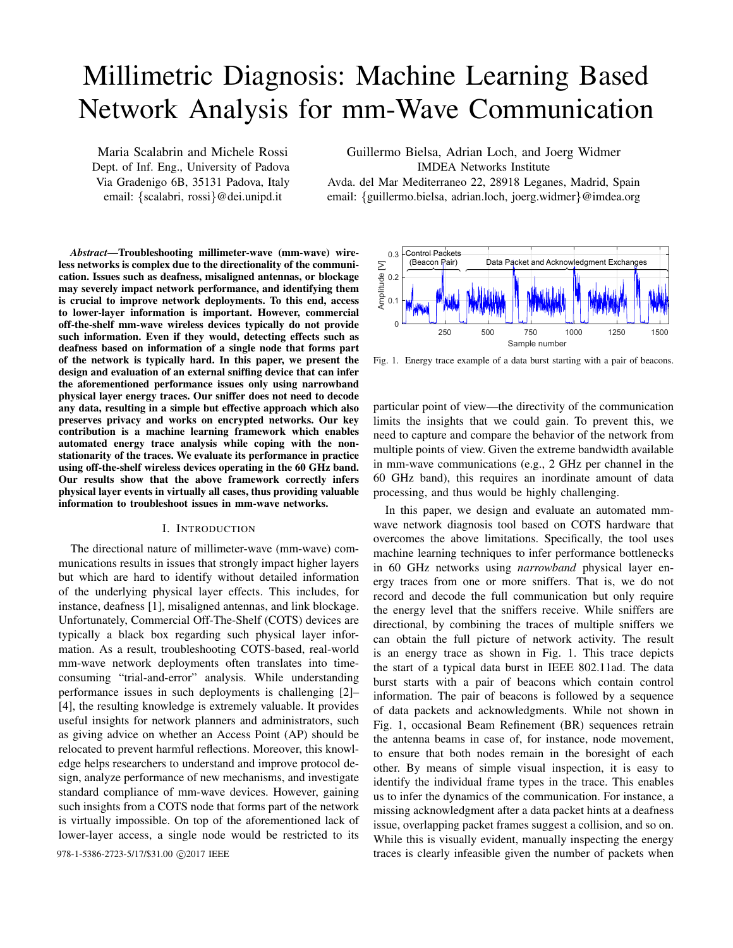# Millimetric Diagnosis: Machine Learning Based Network Analysis for mm-Wave Communication

Maria Scalabrin and Michele Rossi Dept. of Inf. Eng., University of Padova Via Gradenigo 6B, 35131 Padova, Italy email: {scalabri, rossi}@dei.unipd.it

Guillermo Bielsa, Adrian Loch, and Joerg Widmer IMDEA Networks Institute

Avda. del Mar Mediterraneo 22, 28918 Leganes, Madrid, Spain email: {guillermo.bielsa, adrian.loch, joerg.widmer}@imdea.org

*Abstract*—Troubleshooting millimeter-wave (mm-wave) wireless networks is complex due to the directionality of the communication. Issues such as deafness, misaligned antennas, or blockage may severely impact network performance, and identifying them is crucial to improve network deployments. To this end, access to lower-layer information is important. However, commercial off-the-shelf mm-wave wireless devices typically do not provide such information. Even if they would, detecting effects such as deafness based on information of a single node that forms part of the network is typically hard. In this paper, we present the design and evaluation of an external sniffing device that can infer the aforementioned performance issues only using narrowband physical layer energy traces. Our sniffer does not need to decode any data, resulting in a simple but effective approach which also preserves privacy and works on encrypted networks. Our key contribution is a machine learning framework which enables automated energy trace analysis while coping with the nonstationarity of the traces. We evaluate its performance in practice using off-the-shelf wireless devices operating in the 60 GHz band. Our results show that the above framework correctly infers physical layer events in virtually all cases, thus providing valuable information to troubleshoot issues in mm-wave networks.

## I. INTRODUCTION

The directional nature of millimeter-wave (mm-wave) communications results in issues that strongly impact higher layers but which are hard to identify without detailed information of the underlying physical layer effects. This includes, for instance, deafness [1], misaligned antennas, and link blockage. Unfortunately, Commercial Off-The-Shelf (COTS) devices are typically a black box regarding such physical layer information. As a result, troubleshooting COTS-based, real-world mm-wave network deployments often translates into timeconsuming "trial-and-error" analysis. While understanding performance issues in such deployments is challenging [2]– [4], the resulting knowledge is extremely valuable. It provides useful insights for network planners and administrators, such as giving advice on whether an Access Point (AP) should be relocated to prevent harmful reflections. Moreover, this knowledge helps researchers to understand and improve protocol design, analyze performance of new mechanisms, and investigate standard compliance of mm-wave devices. However, gaining such insights from a COTS node that forms part of the network is virtually impossible. On top of the aforementioned lack of lower-layer access, a single node would be restricted to its



Fig. 1. Energy trace example of a data burst starting with a pair of beacons.

particular point of view—the directivity of the communication limits the insights that we could gain. To prevent this, we need to capture and compare the behavior of the network from multiple points of view. Given the extreme bandwidth available in mm-wave communications (e.g., 2 GHz per channel in the 60 GHz band), this requires an inordinate amount of data processing, and thus would be highly challenging.

In this paper, we design and evaluate an automated mmwave network diagnosis tool based on COTS hardware that overcomes the above limitations. Specifically, the tool uses machine learning techniques to infer performance bottlenecks in 60 GHz networks using *narrowband* physical layer energy traces from one or more sniffers. That is, we do not record and decode the full communication but only require the energy level that the sniffers receive. While sniffers are directional, by combining the traces of multiple sniffers we can obtain the full picture of network activity. The result is an energy trace as shown in Fig. 1. This trace depicts the start of a typical data burst in IEEE 802.11ad. The data burst starts with a pair of beacons which contain control information. The pair of beacons is followed by a sequence of data packets and acknowledgments. While not shown in Fig. 1, occasional Beam Refinement (BR) sequences retrain the antenna beams in case of, for instance, node movement, to ensure that both nodes remain in the boresight of each other. By means of simple visual inspection, it is easy to identify the individual frame types in the trace. This enables us to infer the dynamics of the communication. For instance, a missing acknowledgment after a data packet hints at a deafness issue, overlapping packet frames suggest a collision, and so on. While this is visually evident, manually inspecting the energy 978-1-5386-2723-5/17/\$31.00  $\odot$ 2017 IEEE traces is clearly infeasible given the number of packets when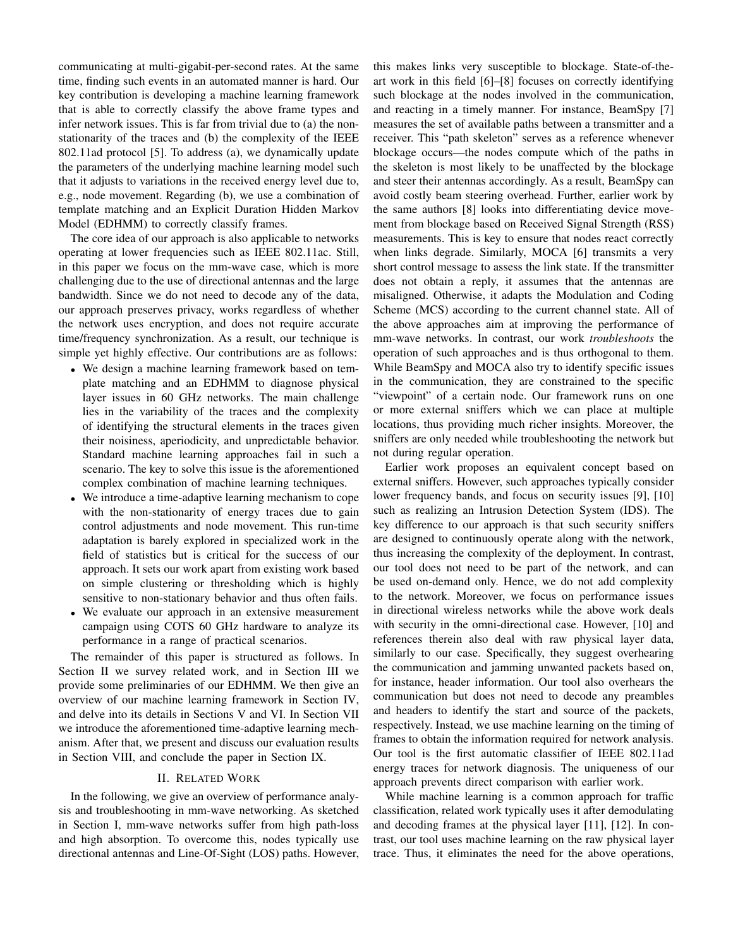communicating at multi-gigabit-per-second rates. At the same time, finding such events in an automated manner is hard. Our key contribution is developing a machine learning framework that is able to correctly classify the above frame types and infer network issues. This is far from trivial due to (a) the nonstationarity of the traces and (b) the complexity of the IEEE 802.11ad protocol [5]. To address (a), we dynamically update the parameters of the underlying machine learning model such that it adjusts to variations in the received energy level due to, e.g., node movement. Regarding (b), we use a combination of template matching and an Explicit Duration Hidden Markov Model (EDHMM) to correctly classify frames.

The core idea of our approach is also applicable to networks operating at lower frequencies such as IEEE 802.11ac. Still, in this paper we focus on the mm-wave case, which is more challenging due to the use of directional antennas and the large bandwidth. Since we do not need to decode any of the data, our approach preserves privacy, works regardless of whether the network uses encryption, and does not require accurate time/frequency synchronization. As a result, our technique is simple yet highly effective. Our contributions are as follows:

- We design a machine learning framework based on template matching and an EDHMM to diagnose physical layer issues in 60 GHz networks. The main challenge lies in the variability of the traces and the complexity of identifying the structural elements in the traces given their noisiness, aperiodicity, and unpredictable behavior. Standard machine learning approaches fail in such a scenario. The key to solve this issue is the aforementioned complex combination of machine learning techniques.
- We introduce a time-adaptive learning mechanism to cope with the non-stationarity of energy traces due to gain control adjustments and node movement. This run-time adaptation is barely explored in specialized work in the field of statistics but is critical for the success of our approach. It sets our work apart from existing work based on simple clustering or thresholding which is highly sensitive to non-stationary behavior and thus often fails.
- We evaluate our approach in an extensive measurement campaign using COTS 60 GHz hardware to analyze its performance in a range of practical scenarios.

The remainder of this paper is structured as follows. In Section II we survey related work, and in Section III we provide some preliminaries of our EDHMM. We then give an overview of our machine learning framework in Section IV, and delve into its details in Sections V and VI. In Section VII we introduce the aforementioned time-adaptive learning mechanism. After that, we present and discuss our evaluation results in Section VIII, and conclude the paper in Section IX.

## II. RELATED WORK

In the following, we give an overview of performance analysis and troubleshooting in mm-wave networking. As sketched in Section I, mm-wave networks suffer from high path-loss and high absorption. To overcome this, nodes typically use directional antennas and Line-Of-Sight (LOS) paths. However, this makes links very susceptible to blockage. State-of-theart work in this field [6]–[8] focuses on correctly identifying such blockage at the nodes involved in the communication, and reacting in a timely manner. For instance, BeamSpy [7] measures the set of available paths between a transmitter and a receiver. This "path skeleton" serves as a reference whenever blockage occurs—the nodes compute which of the paths in the skeleton is most likely to be unaffected by the blockage and steer their antennas accordingly. As a result, BeamSpy can avoid costly beam steering overhead. Further, earlier work by the same authors [8] looks into differentiating device movement from blockage based on Received Signal Strength (RSS) measurements. This is key to ensure that nodes react correctly when links degrade. Similarly, MOCA [6] transmits a very short control message to assess the link state. If the transmitter does not obtain a reply, it assumes that the antennas are misaligned. Otherwise, it adapts the Modulation and Coding Scheme (MCS) according to the current channel state. All of the above approaches aim at improving the performance of mm-wave networks. In contrast, our work *troubleshoots* the operation of such approaches and is thus orthogonal to them. While BeamSpy and MOCA also try to identify specific issues in the communication, they are constrained to the specific "viewpoint" of a certain node. Our framework runs on one or more external sniffers which we can place at multiple locations, thus providing much richer insights. Moreover, the sniffers are only needed while troubleshooting the network but not during regular operation.

Earlier work proposes an equivalent concept based on external sniffers. However, such approaches typically consider lower frequency bands, and focus on security issues [9], [10] such as realizing an Intrusion Detection System (IDS). The key difference to our approach is that such security sniffers are designed to continuously operate along with the network, thus increasing the complexity of the deployment. In contrast, our tool does not need to be part of the network, and can be used on-demand only. Hence, we do not add complexity to the network. Moreover, we focus on performance issues in directional wireless networks while the above work deals with security in the omni-directional case. However, [10] and references therein also deal with raw physical layer data, similarly to our case. Specifically, they suggest overhearing the communication and jamming unwanted packets based on, for instance, header information. Our tool also overhears the communication but does not need to decode any preambles and headers to identify the start and source of the packets, respectively. Instead, we use machine learning on the timing of frames to obtain the information required for network analysis. Our tool is the first automatic classifier of IEEE 802.11ad energy traces for network diagnosis. The uniqueness of our approach prevents direct comparison with earlier work.

While machine learning is a common approach for traffic classification, related work typically uses it after demodulating and decoding frames at the physical layer [11], [12]. In contrast, our tool uses machine learning on the raw physical layer trace. Thus, it eliminates the need for the above operations,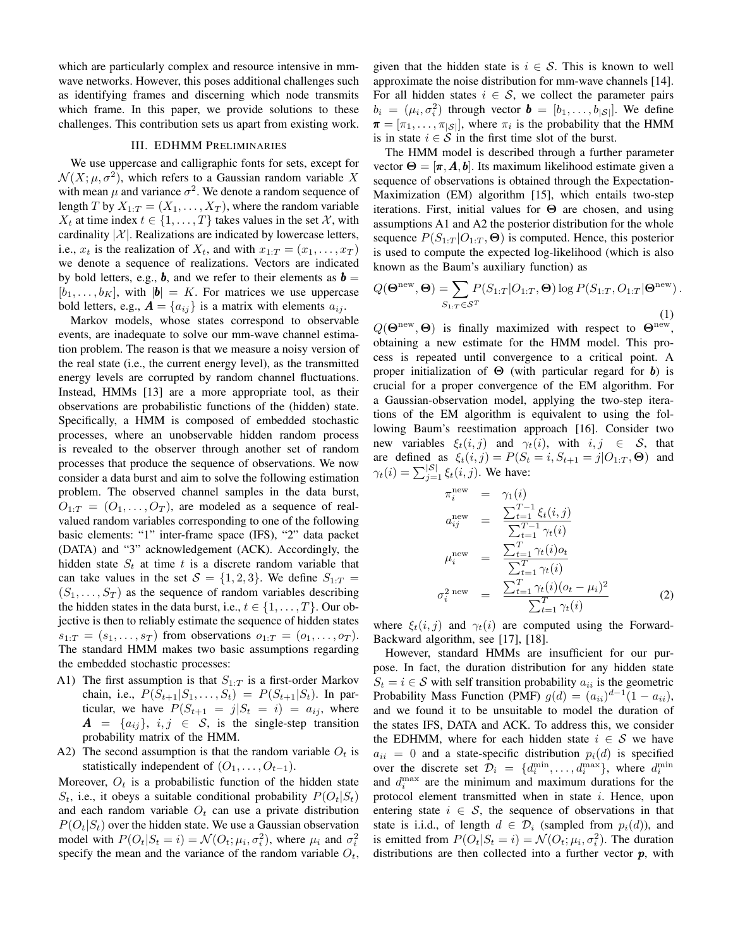which are particularly complex and resource intensive in mmwave networks. However, this poses additional challenges such as identifying frames and discerning which node transmits which frame. In this paper, we provide solutions to these challenges. This contribution sets us apart from existing work.

# III. EDHMM PRELIMINARIES

We use uppercase and calligraphic fonts for sets, except for  $\mathcal{N}(X; \mu, \sigma^2)$ , which refers to a Gaussian random variable X with mean  $\mu$  and variance  $\sigma^2$ . We denote a random sequence of length T by  $X_{1:T} = (X_1, \ldots, X_T)$ , where the random variable  $X_t$  at time index  $t \in \{1, \ldots, T\}$  takes values in the set X, with cardinality  $|\mathcal{X}|$ . Realizations are indicated by lowercase letters, i.e.,  $x_t$  is the realization of  $X_t$ , and with  $x_{1:T} = (x_1, \ldots, x_T)$ we denote a sequence of realizations. Vectors are indicated by bold letters, e.g., b, and we refer to their elements as  $\mathbf{b} =$  $[b_1, \ldots, b_K]$ , with  $|b| = K$ . For matrices we use uppercase bold letters, e.g.,  $\mathbf{A} = \{a_{ij}\}\$ is a matrix with elements  $a_{ij}$ .

Markov models, whose states correspond to observable events, are inadequate to solve our mm-wave channel estimation problem. The reason is that we measure a noisy version of the real state (i.e., the current energy level), as the transmitted energy levels are corrupted by random channel fluctuations. Instead, HMMs [13] are a more appropriate tool, as their observations are probabilistic functions of the (hidden) state. Specifically, a HMM is composed of embedded stochastic processes, where an unobservable hidden random process is revealed to the observer through another set of random processes that produce the sequence of observations. We now consider a data burst and aim to solve the following estimation problem. The observed channel samples in the data burst,  $O_{1:T} = (O_1, \ldots, O_T)$ , are modeled as a sequence of realvalued random variables corresponding to one of the following basic elements: "1" inter-frame space (IFS), "2" data packet (DATA) and "3" acknowledgement (ACK). Accordingly, the hidden state  $S_t$  at time t is a discrete random variable that can take values in the set  $S = \{1, 2, 3\}$ . We define  $S_{1:T}$  $(S_1, \ldots, S_T)$  as the sequence of random variables describing the hidden states in the data burst, i.e.,  $t \in \{1, \ldots, T\}$ . Our objective is then to reliably estimate the sequence of hidden states  $s_{1:T} = (s_1, \ldots, s_T)$  from observations  $o_{1:T} = (o_1, \ldots, o_T)$ . The standard HMM makes two basic assumptions regarding the embedded stochastic processes:

- A1) The first assumption is that  $S_{1:T}$  is a first-order Markov chain, i.e.,  $P(S_{t+1}|S_1,\ldots,S_t) = P(S_{t+1}|S_t)$ . In particular, we have  $P(S_{t+1} = j | S_t = i) = a_{ij}$ , where  $A = \{a_{ij}\}\,$ ,  $i, j \in S$ , is the single-step transition probability matrix of the HMM.
- A2) The second assumption is that the random variable  $O_t$  is statistically independent of  $(O_1, \ldots, O_{t-1})$ .

Moreover,  $O_t$  is a probabilistic function of the hidden state  $S_t$ , i.e., it obeys a suitable conditional probability  $P(O_t|S_t)$ and each random variable  $O_t$  can use a private distribution  $P(O_t|S_t)$  over the hidden state. We use a Gaussian observation model with  $P(O_t|S_t = i) = \mathcal{N}(O_t; \mu_i, \sigma_i^2)$ , where  $\mu_i$  and  $\sigma_i^2$ specify the mean and the variance of the random variable  $O_t$ , given that the hidden state is  $i \in S$ . This is known to well approximate the noise distribution for mm-wave channels [14]. For all hidden states  $i \in S$ , we collect the parameter pairs  $b_i = (\mu_i, \sigma_i^2)$  through vector  $\boldsymbol{b} = [b_1, \ldots, b_{|\mathcal{S}|}]$ . We define  $\boldsymbol{\pi} = [\pi_1, \dots, \pi_{|\mathcal{S}|}],$  where  $\pi_i$  is the probability that the HMM is in state  $i \in S$  in the first time slot of the burst.

The HMM model is described through a further parameter vector  $\Theta = [\pi, A, b]$ . Its maximum likelihood estimate given a sequence of observations is obtained through the Expectation-Maximization (EM) algorithm [15], which entails two-step iterations. First, initial values for Θ are chosen, and using assumptions A1 and A2 the posterior distribution for the whole sequence  $P(S_{1:T} | O_{1:T}, \Theta)$  is computed. Hence, this posterior is used to compute the expected log-likelihood (which is also known as the Baum's auxiliary function) as

$$
Q(\mathbf{\Theta}^{\text{new}}, \mathbf{\Theta}) = \sum_{S_{1:T} \in \mathcal{S}^T} P(S_{1:T} | O_{1:T}, \mathbf{\Theta}) \log P(S_{1:T}, O_{1:T} | \mathbf{\Theta}^{\text{new}}).
$$
\n(1)

 $Q(\Theta^{\text{new}}, \Theta)$  is finally maximized with respect to  $\Theta^{\text{new}}$ , obtaining a new estimate for the HMM model. This process is repeated until convergence to a critical point. A proper initialization of  $\Theta$  (with particular regard for **b**) is crucial for a proper convergence of the EM algorithm. For a Gaussian-observation model, applying the two-step iterations of the EM algorithm is equivalent to using the following Baum's reestimation approach [16]. Consider two new variables  $\xi_t(i, j)$  and  $\gamma_t(i)$ , with  $i, j \in S$ , that are defined as  $\xi_t(i, j) = P(S_t = i, S_{t+1} = j | O_{1:T}, \Theta)$  and  $\gamma_t(i) = \sum_{j=1}^{|S|} \xi_t(i,j)$ . We have:

$$
\pi_i^{\text{new}} = \gamma_1(i)
$$
\n
$$
a_{ij}^{\text{new}} = \frac{\sum_{t=1}^{T-1} \xi_t(i,j)}{\sum_{t=1}^{T-1} \gamma_t(i)}
$$
\n
$$
\mu_i^{\text{new}} = \frac{\sum_{t=1}^{T} \gamma_t(i) o_t}{\sum_{t=1}^{T} \gamma_t(i)}
$$
\n
$$
\sigma_i^2^{\text{new}} = \frac{\sum_{t=1}^{T} \gamma_t(i) (o_t - \mu_i)^2}{\sum_{t=1}^{T} \gamma_t(i)}
$$
\n(2)

where  $\xi_t(i, j)$  and  $\gamma_t(i)$  are computed using the Forward-Backward algorithm, see [17], [18].

However, standard HMMs are insufficient for our purpose. In fact, the duration distribution for any hidden state  $S_t = i \in S$  with self transition probability  $a_{ii}$  is the geometric Probability Mass Function (PMF)  $g(d) = (a_{ii})^{d-1}(1 - a_{ii})$ , and we found it to be unsuitable to model the duration of the states IFS, DATA and ACK. To address this, we consider the EDHMM, where for each hidden state  $i \in S$  we have  $a_{ii} = 0$  and a state-specific distribution  $p_i(d)$  is specified over the discrete set  $\mathcal{D}_i = \{d_i^{\min}, \dots, d_i^{\max}\},$  where  $d_i^{\min}$ and  $d_i^{\text{max}}$  are the minimum and maximum durations for the protocol element transmitted when in state i. Hence, upon entering state  $i \in S$ , the sequence of observations in that state is i.i.d., of length  $d \in \mathcal{D}_i$  (sampled from  $p_i(d)$ ), and is emitted from  $P(O_t|S_t = i) = \mathcal{N}(O_t; \mu_i, \sigma_i^2)$ . The duration distributions are then collected into a further vector  $p$ , with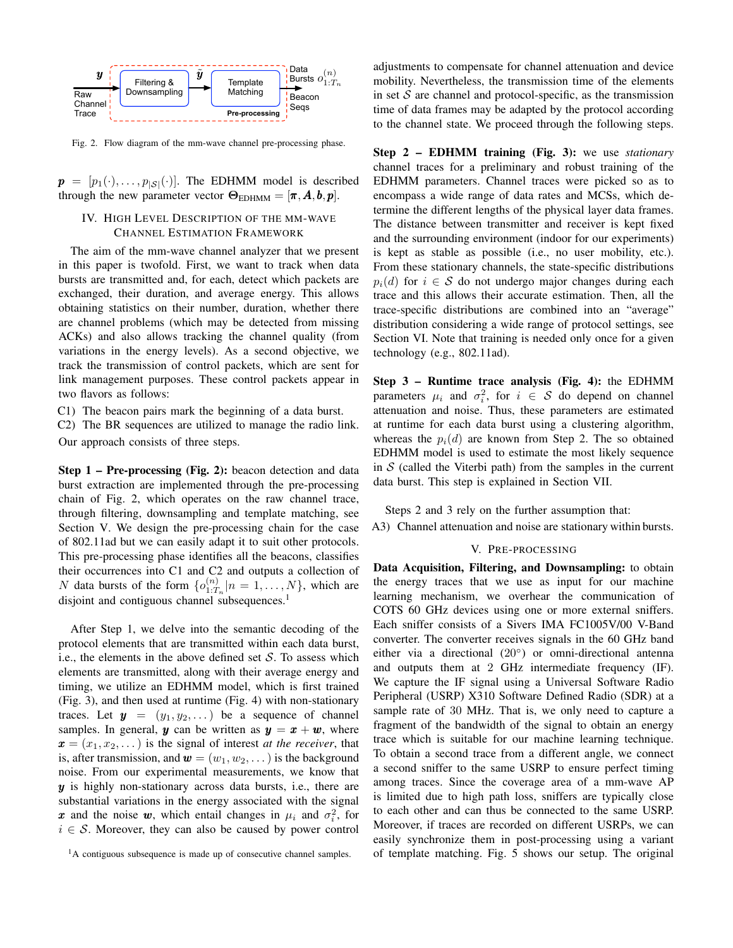

Fig. 2. Flow diagram of the mm-wave channel pre-processing phase.

 $\mathbf{p} = [p_1(\cdot), \dots, p_{|\mathcal{S}|}(\cdot)].$  The EDHMM model is described through the new parameter vector  $\Theta_{\text{EDHMM}} = [\pi, A, b, p].$ 

# IV. HIGH LEVEL DESCRIPTION OF THE MM-WAVE CHANNEL ESTIMATION FRAMEWORK

The aim of the mm-wave channel analyzer that we present in this paper is twofold. First, we want to track when data bursts are transmitted and, for each, detect which packets are exchanged, their duration, and average energy. This allows obtaining statistics on their number, duration, whether there are channel problems (which may be detected from missing ACKs) and also allows tracking the channel quality (from variations in the energy levels). As a second objective, we track the transmission of control packets, which are sent for link management purposes. These control packets appear in two flavors as follows:

C1) The beacon pairs mark the beginning of a data burst.

C2) The BR sequences are utilized to manage the radio link. Our approach consists of three steps.

Step 1 – Pre-processing (Fig. 2): beacon detection and data burst extraction are implemented through the pre-processing chain of Fig. 2, which operates on the raw channel trace, through filtering, downsampling and template matching, see Section V. We design the pre-processing chain for the case of 802.11ad but we can easily adapt it to suit other protocols. This pre-processing phase identifies all the beacons, classifies their occurrences into C1 and C2 and outputs a collection of N data bursts of the form  $\{o_1^{(n)}\}$  $\sum_{1:T_n}^{(n)} |n = 1, \dots, N$ , which are disjoint and contiguous channel subsequences.<sup>1</sup>

After Step 1, we delve into the semantic decoding of the protocol elements that are transmitted within each data burst, i.e., the elements in the above defined set  $S$ . To assess which elements are transmitted, along with their average energy and timing, we utilize an EDHMM model, which is first trained (Fig. 3), and then used at runtime (Fig. 4) with non-stationary traces. Let  $y = (y_1, y_2, ...)$  be a sequence of channel samples. In general, y can be written as  $y = x + w$ , where  $\mathbf{x} = (x_1, x_2, \dots)$  is the signal of interest *at the receiver*, that is, after transmission, and  $\mathbf{w} = (w_1, w_2, \dots)$  is the background noise. From our experimental measurements, we know that  $y$  is highly non-stationary across data bursts, i.e., there are substantial variations in the energy associated with the signal x and the noise w, which entail changes in  $\mu_i$  and  $\sigma_i^2$ , for  $i \in S$ . Moreover, they can also be caused by power control

adjustments to compensate for channel attenuation and device mobility. Nevertheless, the transmission time of the elements in set  $S$  are channel and protocol-specific, as the transmission time of data frames may be adapted by the protocol according to the channel state. We proceed through the following steps.

Step 2 – EDHMM training (Fig. 3): we use *stationary* channel traces for a preliminary and robust training of the EDHMM parameters. Channel traces were picked so as to encompass a wide range of data rates and MCSs, which determine the different lengths of the physical layer data frames. The distance between transmitter and receiver is kept fixed and the surrounding environment (indoor for our experiments) is kept as stable as possible (i.e., no user mobility, etc.). From these stationary channels, the state-specific distributions  $p_i(d)$  for  $i \in S$  do not undergo major changes during each trace and this allows their accurate estimation. Then, all the trace-specific distributions are combined into an "average" distribution considering a wide range of protocol settings, see Section VI. Note that training is needed only once for a given technology (e.g., 802.11ad).

Step 3 – Runtime trace analysis (Fig. 4): the EDHMM parameters  $\mu_i$  and  $\sigma_i^2$ , for  $i \in S$  do depend on channel attenuation and noise. Thus, these parameters are estimated at runtime for each data burst using a clustering algorithm, whereas the  $p_i(d)$  are known from Step 2. The so obtained EDHMM model is used to estimate the most likely sequence in  $S$  (called the Viterbi path) from the samples in the current data burst. This step is explained in Section VII.

Steps 2 and 3 rely on the further assumption that:

A3) Channel attenuation and noise are stationary within bursts.

#### V. PRE-PROCESSING

Data Acquisition, Filtering, and Downsampling: to obtain the energy traces that we use as input for our machine learning mechanism, we overhear the communication of COTS 60 GHz devices using one or more external sniffers. Each sniffer consists of a Sivers IMA FC1005V/00 V-Band converter. The converter receives signals in the 60 GHz band either via a directional (20◦ ) or omni-directional antenna and outputs them at 2 GHz intermediate frequency (IF). We capture the IF signal using a Universal Software Radio Peripheral (USRP) X310 Software Defined Radio (SDR) at a sample rate of 30 MHz. That is, we only need to capture a fragment of the bandwidth of the signal to obtain an energy trace which is suitable for our machine learning technique. To obtain a second trace from a different angle, we connect a second sniffer to the same USRP to ensure perfect timing among traces. Since the coverage area of a mm-wave AP is limited due to high path loss, sniffers are typically close to each other and can thus be connected to the same USRP. Moreover, if traces are recorded on different USRPs, we can easily synchronize them in post-processing using a variant of template matching. Fig. 5 shows our setup. The original

 $<sup>1</sup>A$  contiguous subsequence is made up of consecutive channel samples.</sup>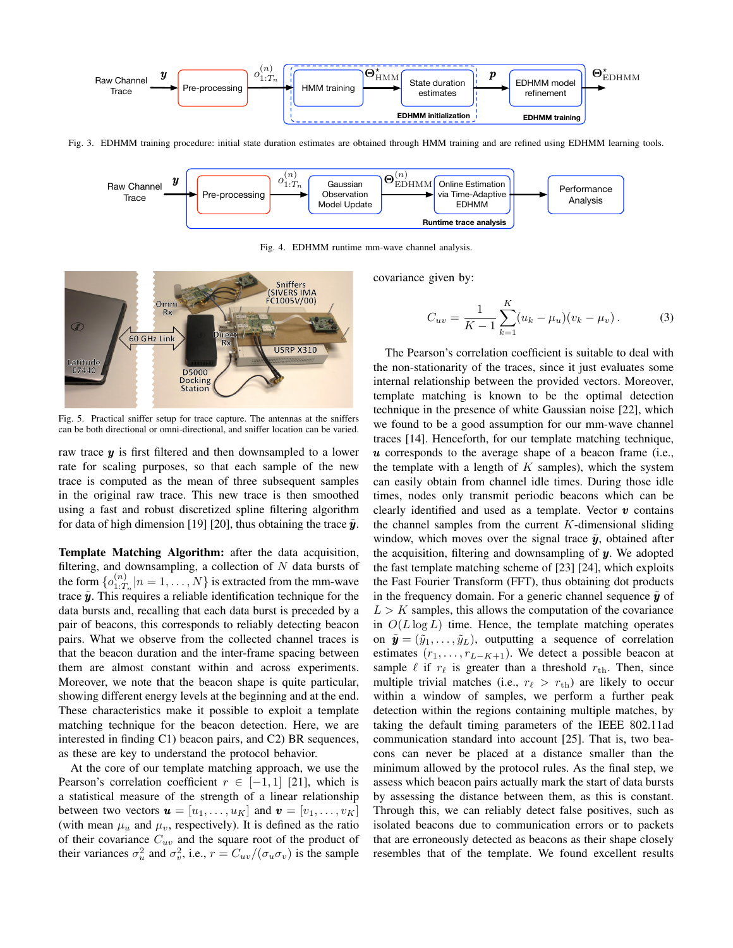

Fig. 3. EDHMM training procedure: initial state duration estimates are obtained through HMM training and are refined using EDHMM learning tools.



Fig. 4. EDHMM runtime mm-wave channel analysis.



Fig. 5. Practical sniffer setup for trace capture. The antennas at the sniffers can be both directional or omni-directional, and sniffer location can be varied.

raw trace  $y$  is first filtered and then downsampled to a lower rate for scaling purposes, so that each sample of the new trace is computed as the mean of three subsequent samples in the original raw trace. This new trace is then smoothed using a fast and robust discretized spline filtering algorithm for data of high dimension [19] [20], thus obtaining the trace  $\tilde{y}$ .

Template Matching Algorithm: after the data acquisition, filtering, and downsampling, a collection of  $N$  data bursts of the form  $\{o_{1:T}^{(n)}\}$  $\binom{n}{1:T_n}$   $\vert n=1,\ldots,N$  is extracted from the mm-wave trace  $\tilde{y}$ . This requires a reliable identification technique for the data bursts and, recalling that each data burst is preceded by a pair of beacons, this corresponds to reliably detecting beacon pairs. What we observe from the collected channel traces is that the beacon duration and the inter-frame spacing between them are almost constant within and across experiments. Moreover, we note that the beacon shape is quite particular, showing different energy levels at the beginning and at the end. These characteristics make it possible to exploit a template matching technique for the beacon detection. Here, we are interested in finding C1) beacon pairs, and C2) BR sequences, as these are key to understand the protocol behavior.

At the core of our template matching approach, we use the Pearson's correlation coefficient  $r \in [-1, 1]$  [21], which is a statistical measure of the strength of a linear relationship between two vectors  $\mathbf{u} = [u_1, \dots, u_K]$  and  $\mathbf{v} = [v_1, \dots, v_K]$ (with mean  $\mu_u$  and  $\mu_v$ , respectively). It is defined as the ratio of their covariance  $C_{uv}$  and the square root of the product of their variances  $\sigma_u^2$  and  $\sigma_v^2$ , i.e.,  $r = C_{uv}/(\sigma_u \sigma_v)$  is the sample covariance given by:

$$
C_{uv} = \frac{1}{K-1} \sum_{k=1}^{K} (u_k - \mu_u)(v_k - \mu_v).
$$
 (3)

The Pearson's correlation coefficient is suitable to deal with the non-stationarity of the traces, since it just evaluates some internal relationship between the provided vectors. Moreover, template matching is known to be the optimal detection technique in the presence of white Gaussian noise [22], which we found to be a good assumption for our mm-wave channel traces [14]. Henceforth, for our template matching technique,  $u$  corresponds to the average shape of a beacon frame (i.e., the template with a length of  $K$  samples), which the system can easily obtain from channel idle times. During those idle times, nodes only transmit periodic beacons which can be clearly identified and used as a template. Vector  $v$  contains the channel samples from the current  $K$ -dimensional sliding window, which moves over the signal trace  $\tilde{y}$ , obtained after the acquisition, filtering and downsampling of  $y$ . We adopted the fast template matching scheme of [23] [24], which exploits the Fast Fourier Transform (FFT), thus obtaining dot products in the frequency domain. For a generic channel sequence  $\tilde{y}$  of  $L > K$  samples, this allows the computation of the covariance in  $O(L \log L)$  time. Hence, the template matching operates on  $\tilde{\mathbf{y}} = (\tilde{y}_1, \dots, \tilde{y}_L)$ , outputting a sequence of correlation estimates  $(r_1, \ldots, r_{L-K+1})$ . We detect a possible beacon at sample  $\ell$  if  $r_{\ell}$  is greater than a threshold  $r_{\text{th}}$ . Then, since multiple trivial matches (i.e.,  $r_\ell > r_{\text{th}}$ ) are likely to occur within a window of samples, we perform a further peak detection within the regions containing multiple matches, by taking the default timing parameters of the IEEE 802.11ad communication standard into account [25]. That is, two beacons can never be placed at a distance smaller than the minimum allowed by the protocol rules. As the final step, we assess which beacon pairs actually mark the start of data bursts by assessing the distance between them, as this is constant. Through this, we can reliably detect false positives, such as isolated beacons due to communication errors or to packets that are erroneously detected as beacons as their shape closely resembles that of the template. We found excellent results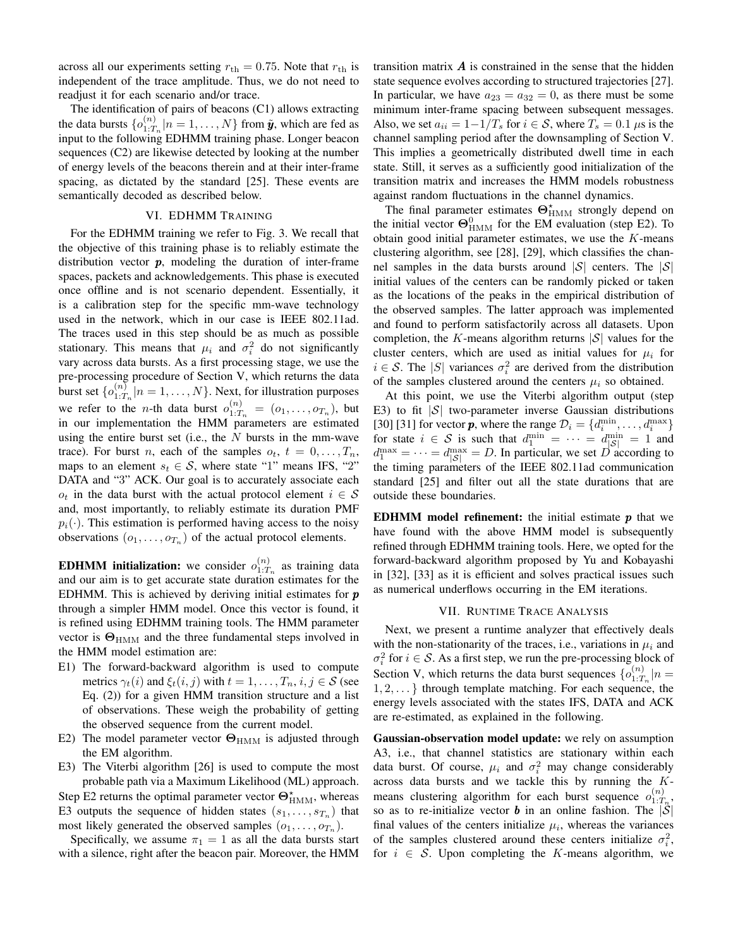across all our experiments setting  $r_{\text{th}} = 0.75$ . Note that  $r_{\text{th}}$  is independent of the trace amplitude. Thus, we do not need to readjust it for each scenario and/or trace.

The identification of pairs of beacons (C1) allows extracting the data bursts  $\{o_{1:T}^{(n)}\}$  $\prod_{1:T_n}^{(n)} |n=1,\ldots,N\}$  from  $\tilde{y}$ , which are fed as input to the following EDHMM training phase. Longer beacon sequences (C2) are likewise detected by looking at the number of energy levels of the beacons therein and at their inter-frame spacing, as dictated by the standard [25]. These events are semantically decoded as described below.

## VI. EDHMM TRAINING

For the EDHMM training we refer to Fig. 3. We recall that the objective of this training phase is to reliably estimate the distribution vector  $p$ , modeling the duration of inter-frame spaces, packets and acknowledgements. This phase is executed once offline and is not scenario dependent. Essentially, it is a calibration step for the specific mm-wave technology used in the network, which in our case is IEEE 802.11ad. The traces used in this step should be as much as possible stationary. This means that  $\mu_i$  and  $\sigma_i^2$  do not significantly vary across data bursts. As a first processing stage, we use the pre-processing procedure of Section V, which returns the data burst set  $\{o_{1}^{(n)}\}$  $\binom{n}{1:T_n}{n=1,\ldots,N}$ . Next, for illustration purposes we refer to the *n*-th data burst  $o_{1:T}^{(n)}$  $\frac{1}{1:T_n} = (o_1, \ldots, o_{T_n}),$  but in our implementation the HMM parameters are estimated using the entire burst set (i.e., the  $N$  bursts in the mm-wave trace). For burst *n*, each of the samples  $o_t$ ,  $t = 0, \ldots, T_n$ , maps to an element  $s_t \in S$ , where state "1" means IFS, "2" DATA and "3" ACK. Our goal is to accurately associate each  $o_t$  in the data burst with the actual protocol element  $i \in S$ and, most importantly, to reliably estimate its duration PMF  $p_i(\cdot)$ . This estimation is performed having access to the noisy observations  $(o_1, \ldots, o_{T_n})$  of the actual protocol elements.

**EDHMM** initialization: we consider  $o_{1:T}^{(n)}$  $\binom{n}{1:T_n}$  as training data and our aim is to get accurate state duration estimates for the EDHMM. This is achieved by deriving initial estimates for  $p$ through a simpler HMM model. Once this vector is found, it is refined using EDHMM training tools. The HMM parameter vector is  $\Theta_{\text{HMM}}$  and the three fundamental steps involved in the HMM model estimation are:

- E1) The forward-backward algorithm is used to compute metrics  $\gamma_t(i)$  and  $\xi_t(i, j)$  with  $t = 1, \ldots, T_n, i, j \in S$  (see Eq. (2)) for a given HMM transition structure and a list of observations. These weigh the probability of getting the observed sequence from the current model.
- E2) The model parameter vector  $\Theta_{HMM}$  is adjusted through the EM algorithm.
- E3) The Viterbi algorithm [26] is used to compute the most probable path via a Maximum Likelihood (ML) approach. Step E2 returns the optimal parameter vector  $\Theta_{\text{HMM}}^{\star}$ , whereas E3 outputs the sequence of hidden states  $(s_1, \ldots, s_{T_n})$  that most likely generated the observed samples  $(o_1, \ldots, o_{T_n})$ .

Specifically, we assume  $\pi_1 = 1$  as all the data bursts start with a silence, right after the beacon pair. Moreover, the HMM transition matrix  $\vec{A}$  is constrained in the sense that the hidden state sequence evolves according to structured trajectories [27]. In particular, we have  $a_{23} = a_{32} = 0$ , as there must be some minimum inter-frame spacing between subsequent messages. Also, we set  $a_{ii} = 1 - 1/T_s$  for  $i \in S$ , where  $T_s = 0.1 \,\mu s$  is the channel sampling period after the downsampling of Section V. This implies a geometrically distributed dwell time in each state. Still, it serves as a sufficiently good initialization of the transition matrix and increases the HMM models robustness against random fluctuations in the channel dynamics.

The final parameter estimates  $\Theta_{\text{HMM}}^{\star}$  strongly depend on the initial vector  $\Theta_{\text{HMM}}^0$  for the EM evaluation (step E2). To obtain good initial parameter estimates, we use the  $K$ -means clustering algorithm, see [28], [29], which classifies the channel samples in the data bursts around  $|S|$  centers. The  $|S|$ initial values of the centers can be randomly picked or taken as the locations of the peaks in the empirical distribution of the observed samples. The latter approach was implemented and found to perform satisfactorily across all datasets. Upon completion, the K-means algorithm returns  $|S|$  values for the cluster centers, which are used as initial values for  $\mu_i$  for  $i \in S$ . The |S| variances  $\sigma_i^2$  are derived from the distribution of the samples clustered around the centers  $\mu_i$  so obtained.

At this point, we use the Viterbi algorithm output (step E3) to fit  $|S|$  two-parameter inverse Gaussian distributions [30] [31] for vector **p**, where the range  $\mathcal{D}_i = \{d_i^{\min}, \dots, d_i^{\max}\}\$ for state  $i \in S$  is such that  $d_1^{\min} = \cdots = d_{|S|}^{\min} = 1$  and  $d_1^{\max} = \cdots = d_{|S|}^{\max} = D$ . In particular, we set D according to the timing parameters of the IEEE 802.11ad communication standard [25] and filter out all the state durations that are outside these boundaries.

EDHMM model refinement: the initial estimate  $p$  that we have found with the above HMM model is subsequently refined through EDHMM training tools. Here, we opted for the forward-backward algorithm proposed by Yu and Kobayashi in [32], [33] as it is efficient and solves practical issues such as numerical underflows occurring in the EM iterations.

## VII. RUNTIME TRACE ANALYSIS

Next, we present a runtime analyzer that effectively deals with the non-stationarity of the traces, i.e., variations in  $\mu_i$  and  $\sigma_i^2$  for  $i \in S$ . As a first step, we run the pre-processing block of Section V, which returns the data burst sequences  $\{o_{1:T}^{(n)}\}$  $\binom{n}{1:T_n}$  |  $n =$  $1, 2, \ldots$  through template matching. For each sequence, the energy levels associated with the states IFS, DATA and ACK are re-estimated, as explained in the following.

Gaussian-observation model update: we rely on assumption A3, i.e., that channel statistics are stationary within each data burst. Of course,  $\mu_i$  and  $\sigma_i^2$  may change considerably across data bursts and we tackle this by running the Kmeans clustering algorithm for each burst sequence  $o_{1:T}^{(n)}$  $\frac{(n)}{1:T_n},$ so as to re-initialize vector **b** in an online fashion. The  $|\overrightarrow{S}|$ final values of the centers initialize  $\mu_i$ , whereas the variances of the samples clustered around these centers initialize  $\sigma_i^2$ , for  $i \in S$ . Upon completing the K-means algorithm, we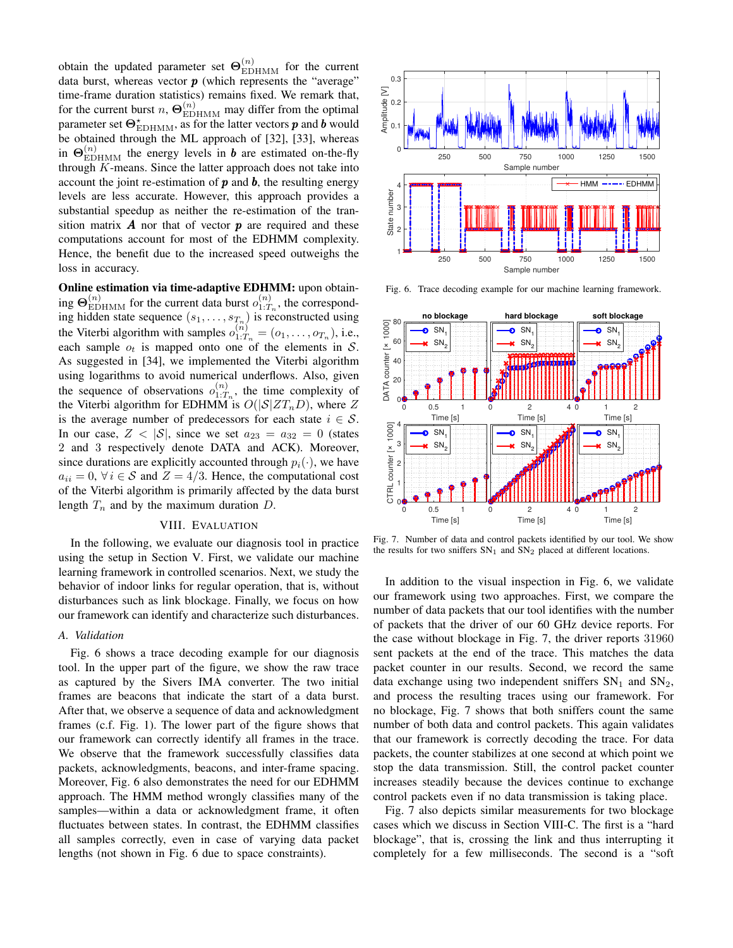obtain the updated parameter set  $\Theta_{\rm EDHMM}^{(n)}$  for the current data burst, whereas vector  $p$  (which represents the "average" time-frame duration statistics) remains fixed. We remark that, for the current burst n,  $\Theta_{\rm EDHMM}^{(n)}$  may differ from the optimal parameter set  $\Theta_{\rm EDHMM}^{\star}$ , as for the latter vectors **p** and **b** would be obtained through the ML approach of [32], [33], whereas in  $\Theta_{\rm EDHMM}^{(n)}$  the energy levels in **b** are estimated on-the-fly through  $K$ -means. Since the latter approach does not take into account the joint re-estimation of  $p$  and  $b$ , the resulting energy levels are less accurate. However, this approach provides a substantial speedup as neither the re-estimation of the transition matrix  $\boldsymbol{A}$  nor that of vector  $\boldsymbol{p}$  are required and these computations account for most of the EDHMM complexity. Hence, the benefit due to the increased speed outweighs the loss in accuracy.

Online estimation via time-adaptive EDHMM: upon obtaining  $\Theta_{\rm EDHMM}^{(n)}$  for the current data burst  $o_{1:T}^{(n)}$  $\binom{n}{1:T_n}$ , the corresponding hidden state sequence  $(s_1, \ldots, s_{T_n})$  is reconstructed using the Viterbi algorithm with samples  $o_{1:T}^{(n)}$  $\mathcal{L}_{1:T_n}^{(n)} = (o_1, \ldots, o_{T_n}),$  i.e., each sample  $o_t$  is mapped onto one of the elements in  $S$ . As suggested in [34], we implemented the Viterbi algorithm using logarithms to avoid numerical underflows. Also, given the sequence of observations  $o_{1:T}^{(n)}$  $\binom{n}{1:T_n}$ , the time complexity of the Viterbi algorithm for EDHMM is  $O(|\mathcal{S}|ZT_nD)$ , where Z is the average number of predecessors for each state  $i \in S$ . In our case,  $Z < |\mathcal{S}|$ , since we set  $a_{23} = a_{32} = 0$  (states 2 and 3 respectively denote DATA and ACK). Moreover, since durations are explicitly accounted through  $p_i(\cdot)$ , we have  $a_{ii} = 0$ ,  $\forall i \in S$  and  $Z = 4/3$ . Hence, the computational cost of the Viterbi algorithm is primarily affected by the data burst length  $T_n$  and by the maximum duration D.

## VIII. EVALUATION

In the following, we evaluate our diagnosis tool in practice using the setup in Section V. First, we validate our machine learning framework in controlled scenarios. Next, we study the behavior of indoor links for regular operation, that is, without disturbances such as link blockage. Finally, we focus on how our framework can identify and characterize such disturbances.

#### *A. Validation*

Fig. 6 shows a trace decoding example for our diagnosis tool. In the upper part of the figure, we show the raw trace as captured by the Sivers IMA converter. The two initial frames are beacons that indicate the start of a data burst. After that, we observe a sequence of data and acknowledgment frames (c.f. Fig. 1). The lower part of the figure shows that our framework can correctly identify all frames in the trace. We observe that the framework successfully classifies data packets, acknowledgments, beacons, and inter-frame spacing. Moreover, Fig. 6 also demonstrates the need for our EDHMM approach. The HMM method wrongly classifies many of the samples—within a data or acknowledgment frame, it often fluctuates between states. In contrast, the EDHMM classifies all samples correctly, even in case of varying data packet lengths (not shown in Fig. 6 due to space constraints).



Fig. 6. Trace decoding example for our machine learning framework.



Fig. 7. Number of data and control packets identified by our tool. We show the results for two sniffers  $SN_1$  and  $SN_2$  placed at different locations.

In addition to the visual inspection in Fig. 6, we validate our framework using two approaches. First, we compare the number of data packets that our tool identifies with the number of packets that the driver of our 60 GHz device reports. For the case without blockage in Fig. 7, the driver reports 31960 sent packets at the end of the trace. This matches the data packet counter in our results. Second, we record the same data exchange using two independent sniffers  $SN_1$  and  $SN_2$ , and process the resulting traces using our framework. For no blockage, Fig. 7 shows that both sniffers count the same number of both data and control packets. This again validates that our framework is correctly decoding the trace. For data packets, the counter stabilizes at one second at which point we stop the data transmission. Still, the control packet counter increases steadily because the devices continue to exchange control packets even if no data transmission is taking place.

Fig. 7 also depicts similar measurements for two blockage cases which we discuss in Section VIII-C. The first is a "hard blockage", that is, crossing the link and thus interrupting it completely for a few milliseconds. The second is a "soft"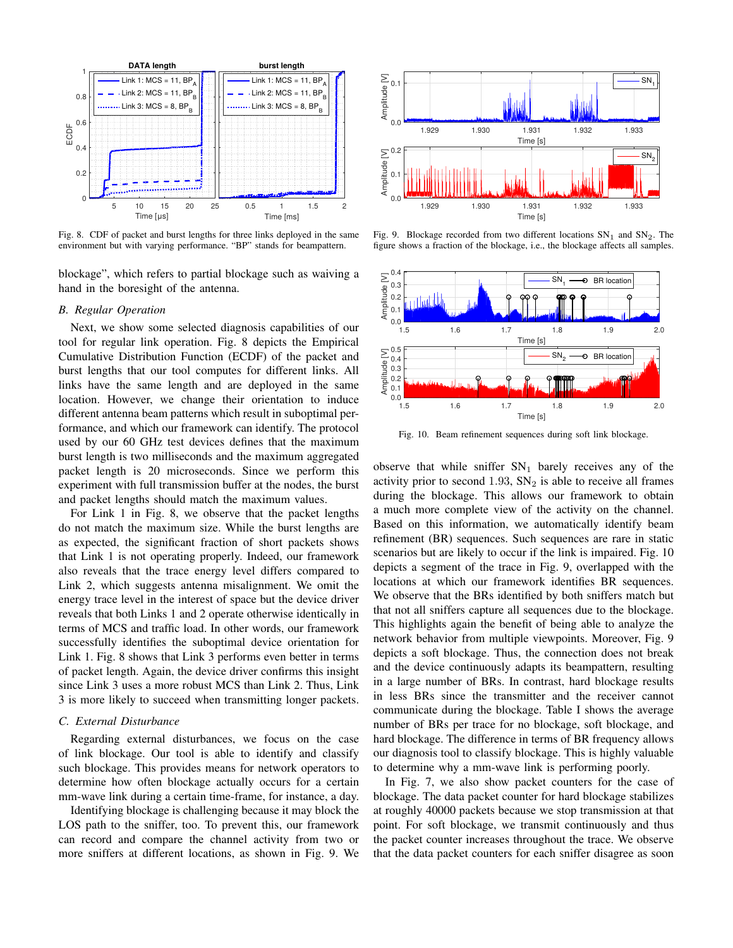

Fig. 8. CDF of packet and burst lengths for three links deployed in the same environment but with varying performance. "BP" stands for beampattern.

blockage", which refers to partial blockage such as waiving a hand in the boresight of the antenna.

## *B. Regular Operation*

Next, we show some selected diagnosis capabilities of our tool for regular link operation. Fig. 8 depicts the Empirical Cumulative Distribution Function (ECDF) of the packet and burst lengths that our tool computes for different links. All links have the same length and are deployed in the same location. However, we change their orientation to induce different antenna beam patterns which result in suboptimal performance, and which our framework can identify. The protocol used by our 60 GHz test devices defines that the maximum burst length is two milliseconds and the maximum aggregated packet length is 20 microseconds. Since we perform this experiment with full transmission buffer at the nodes, the burst and packet lengths should match the maximum values.

For Link 1 in Fig. 8, we observe that the packet lengths do not match the maximum size. While the burst lengths are as expected, the significant fraction of short packets shows that Link 1 is not operating properly. Indeed, our framework also reveals that the trace energy level differs compared to Link 2, which suggests antenna misalignment. We omit the energy trace level in the interest of space but the device driver reveals that both Links 1 and 2 operate otherwise identically in terms of MCS and traffic load. In other words, our framework successfully identifies the suboptimal device orientation for Link 1. Fig. 8 shows that Link 3 performs even better in terms of packet length. Again, the device driver confirms this insight since Link 3 uses a more robust MCS than Link 2. Thus, Link 3 is more likely to succeed when transmitting longer packets.

## *C. External Disturbance*

Regarding external disturbances, we focus on the case of link blockage. Our tool is able to identify and classify such blockage. This provides means for network operators to determine how often blockage actually occurs for a certain mm-wave link during a certain time-frame, for instance, a day.

Identifying blockage is challenging because it may block the LOS path to the sniffer, too. To prevent this, our framework can record and compare the channel activity from two or more sniffers at different locations, as shown in Fig. 9. We



Fig. 9. Blockage recorded from two different locations  $SN_1$  and  $SN_2$ . The figure shows a fraction of the blockage, i.e., the blockage affects all samples.



Fig. 10. Beam refinement sequences during soft link blockage.

observe that while sniffer  $SN_1$  barely receives any of the activity prior to second  $1.93$ ,  $SN<sub>2</sub>$  is able to receive all frames during the blockage. This allows our framework to obtain a much more complete view of the activity on the channel. Based on this information, we automatically identify beam refinement (BR) sequences. Such sequences are rare in static scenarios but are likely to occur if the link is impaired. Fig. 10 depicts a segment of the trace in Fig. 9, overlapped with the locations at which our framework identifies BR sequences. We observe that the BRs identified by both sniffers match but that not all sniffers capture all sequences due to the blockage. This highlights again the benefit of being able to analyze the network behavior from multiple viewpoints. Moreover, Fig. 9 depicts a soft blockage. Thus, the connection does not break and the device continuously adapts its beampattern, resulting in a large number of BRs. In contrast, hard blockage results in less BRs since the transmitter and the receiver cannot communicate during the blockage. Table I shows the average number of BRs per trace for no blockage, soft blockage, and hard blockage. The difference in terms of BR frequency allows our diagnosis tool to classify blockage. This is highly valuable to determine why a mm-wave link is performing poorly.

In Fig. 7, we also show packet counters for the case of blockage. The data packet counter for hard blockage stabilizes at roughly 40000 packets because we stop transmission at that point. For soft blockage, we transmit continuously and thus the packet counter increases throughout the trace. We observe that the data packet counters for each sniffer disagree as soon